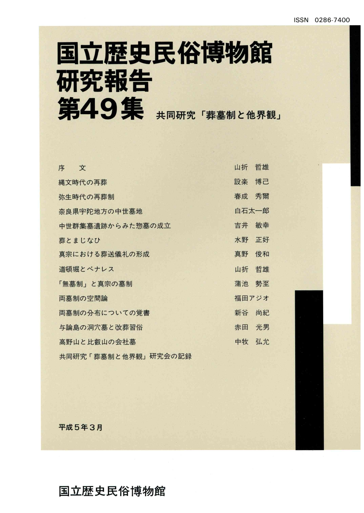# 国立歴史民俗博物館 研究報告 第49集 共同研究「葬墓制と他界観」

| 文<br>序              | 山折    | 哲雄 |
|---------------------|-------|----|
| 縄文時代の再葬             | 設楽    | 博己 |
| 弥生時代の再葬制            | 春成    | 秀爾 |
| 奈良県宇陀地方の中世墓地        | 白石太一郎 |    |
| 中世群集墓遺跡からみた惣墓の成立    | 吉井    | 敏幸 |
| 葬とまじなひ              | 水野    | 正好 |
| 真宗における葬送儀礼の形成       | 真野    | 俊和 |
| 道頓堀とベナレス            | 山折    | 哲雄 |
| 「無墓制」と真宗の墓制         | 蒲池    | 勢至 |
| 両墓制の空間論             | 福田アジオ |    |
| 両墓制の分布についての覚書       | 新谷    | 尚紀 |
| 与論島の洞穴墓と改葬習俗        | 赤田    | 光男 |
| 高野山と比叡山の会社墓         | 中牧    | 弘允 |
| 共同研究「葬墓制と他界観」研究会の記録 |       |    |

平成5年3月

#### 国立歴史民俗博物館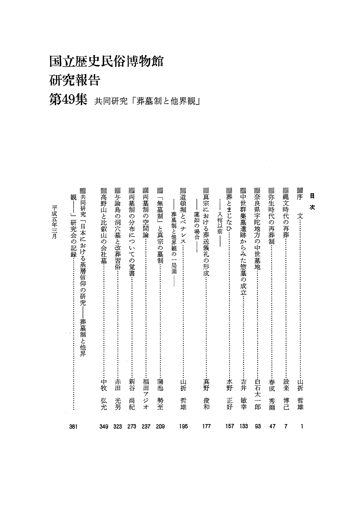国立歴史民俗博物館

研究報告

mm

um riitti. <u>nm</u> 41111b

第49集 共同研究「葬墓制と他界観」

| 目<br>次                                        |            |
|-----------------------------------------------|------------|
| ▓<br>文…<br>山折                                 | 哲雄<br>1    |
| ▒縄文時代の再葬:<br>設楽                               | 博己<br>7    |
| ▓弥生時代の再葬制<br>春成                               | 秀爾<br>47   |
| ▓奈良県宇陀地方の中世墓地.<br>-白石太一郎                      | 93         |
| ▓中世群集墓遺跡からみた惣墓の成立…<br>吉井                      | 敏幸<br>133  |
| ▓葬とまじなひ.<br>入棺以前<br>水野                        | 正好<br>157  |
| ▓真宗における葬送儀礼の形成:<br>蓮如の場合<br>真野                | 俊和<br>177  |
| ▓道頓堀とベナレス:<br>葬墓制と他界観の一局面<br>山折               | 哲雄<br>195  |
| Mihr<br>「無墓制」と真宗の墓制<br>蒲池                     | 勢至<br>209  |
| ▓両墓制<br>の空間論<br>福田                            | アジオ<br>237 |
| ▓両墓制<br>の分布につ<br>いての覚書<br>新谷                  | 尚紀<br>273  |
| ▓与論島<br>の洞穴墓と改葬習俗<br>赤田                       | 光男<br>323  |
| ▓高野山と比叡山の会社墓:<br>中牧                           | 弘允<br>349  |
| ▓共同研究「日本における基層信仰の研究<br>観<br>研究会の記録…<br>葬墓制と他界 | 381        |
| 平成五年三月                                        |            |

um.

um.

um.

mm. <u>mm</u> sittiin

9711h. um. mm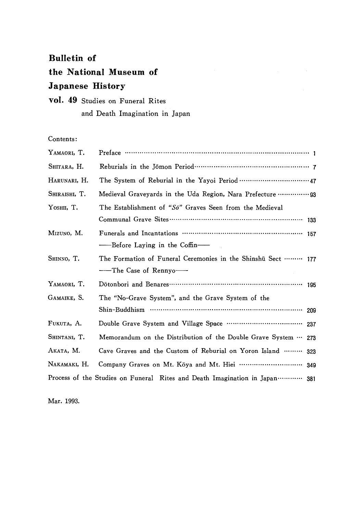#### Bulletin of

## the National Museum of Japanese History

### vol.49 Studies on Funeral Rites and Death Imagination in Japan

Contents:

| YAMAORI, T.   | Preface $\cdots$ $\cdots$ $\cdots$ $\cdots$ $\cdots$ $\cdots$ $\cdots$ $\cdots$ $\cdots$ $\cdots$ $\cdots$ $\cdots$ $\cdots$ $\cdots$ $\cdots$ $\cdots$ |     |  |
|---------------|---------------------------------------------------------------------------------------------------------------------------------------------------------|-----|--|
| SHITARA, H.   |                                                                                                                                                         |     |  |
| HARUNARI, H.  |                                                                                                                                                         |     |  |
| SHIRAISHI, T. |                                                                                                                                                         |     |  |
| YOSHII, T.    | The Establishment of " $S\bar{o}$ " Graves Seen from the Medieval                                                                                       |     |  |
|               |                                                                                                                                                         |     |  |
| Mizuno, M.    | Funerals and Incantations ……………………………………………… 157                                                                                                        |     |  |
|               |                                                                                                                                                         |     |  |
| SHINNO, T.    | The Formation of Funeral Ceremonies in the Shinshu Sect ……… 177                                                                                         |     |  |
|               | ——The Case of Rennyo——                                                                                                                                  |     |  |
| YAMAORI, T.   |                                                                                                                                                         |     |  |
| GAMAIKE, S.   | The "No-Grave System", and the Grave System of the                                                                                                      |     |  |
|               |                                                                                                                                                         | 209 |  |
| FUKUTA, A.    |                                                                                                                                                         |     |  |
| SHINTANI, T.  | Memorandum on the Distribution of the Double Grave System  273                                                                                          |     |  |
| Аката, М.     | Cave Graves and the Custom of Reburial on Yoron Island  323                                                                                             |     |  |
| NAKAMAKI, H.  |                                                                                                                                                         |     |  |
|               | Process of the Studies on Funeral Rites and Death Imagination in Japan………… 381                                                                          |     |  |

Mar.1993.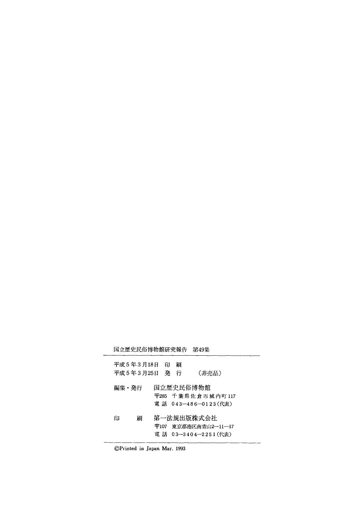国立歴史民俗博物館研究報告 第49集

|       | 平成5年3月18日<br>平成 5 年 3 月25日 | 印 | 刷<br>発 行 | (非売品)                                                        |
|-------|----------------------------|---|----------|--------------------------------------------------------------|
| 編集・発行 |                            |   |          | 国立歴史民俗博物館<br>〒285 千葉県佐倉市城内町117<br>電 話 043-486-0123(代表)       |
| 印     | 刷                          |   |          | 第一法規出版株式会社<br> 〒107  東京都港区南青山2―11―17 <br>電話 03-3404-2251(代表) |

⑥Printed in Japan Mar.1993